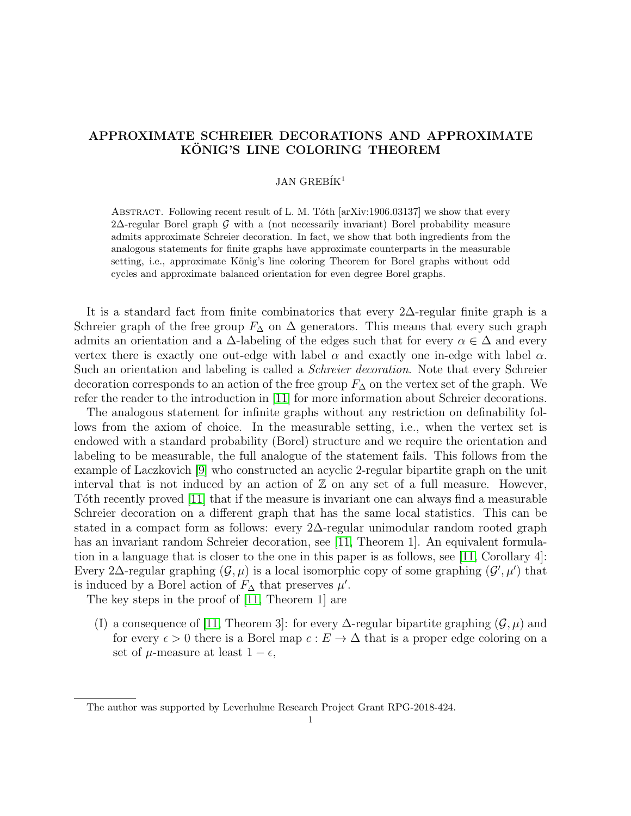# APPROXIMATE SCHREIER DECORATIONS AND APPROXIMATE KÖNIG'S LINE COLORING THEOREM

# $JAN$  GREBIK<sup>1</sup>

ABSTRACT. Following recent result of L. M. Tóth [arXiv:1906.03137] we show that every 2∆-regular Borel graph G with a (not necessarily invariant) Borel probability measure admits approximate Schreier decoration. In fact, we show that both ingredients from the analogous statements for finite graphs have approximate counterparts in the measurable setting, i.e., approximate König's line coloring Theorem for Borel graphs without odd cycles and approximate balanced orientation for even degree Borel graphs.

It is a standard fact from finite combinatorics that every 2∆-regular finite graph is a Schreier graph of the free group  $F_{\Delta}$  on  $\Delta$  generators. This means that every such graph admits an orientation and a  $\Delta$ -labeling of the edges such that for every  $\alpha \in \Delta$  and every vertex there is exactly one out-edge with label  $\alpha$  and exactly one in-edge with label  $\alpha$ . Such an orientation and labeling is called a *Schreier decoration*. Note that every Schreier decoration corresponds to an action of the free group  $F_{\Delta}$  on the vertex set of the graph. We refer the reader to the introduction in [\[11\]](#page-10-0) for more information about Schreier decorations.

The analogous statement for infinite graphs without any restriction on definability follows from the axiom of choice. In the measurable setting, i.e., when the vertex set is endowed with a standard probability (Borel) structure and we require the orientation and labeling to be measurable, the full analogue of the statement fails. This follows from the example of Laczkovich [\[9\]](#page-10-1) who constructed an acyclic 2-regular bipartite graph on the unit interval that is not induced by an action of  $\mathbb Z$  on any set of a full measure. However, Toth recently proved [\[11\]](#page-10-0) that if the measure is invariant one can always find a measurable Schreier decoration on a different graph that has the same local statistics. This can be stated in a compact form as follows: every 2∆-regular unimodular random rooted graph has an invariant random Schreier decoration, see [\[11,](#page-10-0) Theorem 1]. An equivalent formulation in a language that is closer to the one in this paper is as follows, see [\[11,](#page-10-0) Corollary 4]: Every 2∆-regular graphing  $(G, \mu)$  is a local isomorphic copy of some graphing  $(G', \mu')$  that is induced by a Borel action of  $F_{\Delta}$  that preserves  $\mu'$ .

The key steps in the proof of [\[11,](#page-10-0) Theorem 1] are

(I) a consequence of [\[11,](#page-10-0) Theorem 3]: for every  $\Delta$ -regular bipartite graphing  $(\mathcal{G}, \mu)$  and for every  $\epsilon > 0$  there is a Borel map  $c : E \to \Delta$  that is a proper edge coloring on a set of  $\mu$ -measure at least  $1 - \epsilon$ ,

The author was supported by Leverhulme Research Project Grant RPG-2018-424.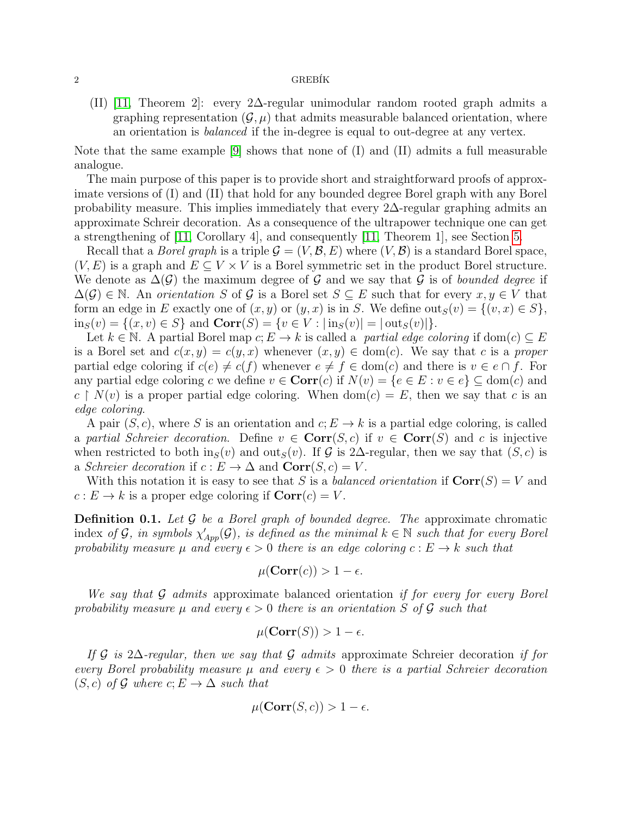#### $2 \overline{G}$ REBÍK

(II) [\[11,](#page-10-0) Theorem 2]: every 2∆-regular unimodular random rooted graph admits a graphing representation  $(\mathcal{G}, \mu)$  that admits measurable balanced orientation, where an orientation is balanced if the in-degree is equal to out-degree at any vertex.

Note that the same example  $[9]$  shows that none of  $(I)$  and  $(II)$  admits a full measurable analogue.

The main purpose of this paper is to provide short and straightforward proofs of approximate versions of (I) and (II) that hold for any bounded degree Borel graph with any Borel probability measure. This implies immediately that every  $2\Delta$ -regular graphing admits an approximate Schreir decoration. As a consequence of the ultrapower technique one can get a strengthening of [\[11,](#page-10-0) Corollary 4], and consequently [\[11,](#page-10-0) Theorem 1], see Section [5.](#page-9-0)

Recall that a *Borel graph* is a triple  $\mathcal{G} = (V, \mathcal{B}, E)$  where  $(V, \mathcal{B})$  is a standard Borel space,  $(V, E)$  is a graph and  $E \subseteq V \times V$  is a Borel symmetric set in the product Borel structure. We denote as  $\Delta(\mathcal{G})$  the maximum degree of G and we say that G is of bounded degree if  $\Delta(\mathcal{G}) \in \mathbb{N}$ . An orientation S of G is a Borel set  $S \subseteq E$  such that for every  $x, y \in V$  that form an edge in E exactly one of  $(x, y)$  or  $(y, x)$  is in S. We define  $out_S(v) = \{(v, x) \in S\},\$  $\text{in}_S(v) = \{(x, v) \in S\}$  and  $\text{Corr}(S) = \{v \in V : |\text{in}_S(v)| = |\text{out}_S(v)|\}.$ 

Let  $k \in \mathbb{N}$ . A partial Borel map  $c: E \to k$  is called a *partial edge coloring* if dom(c)  $\subseteq E$ is a Borel set and  $c(x, y) = c(y, x)$  whenever  $(x, y) \in dom(c)$ . We say that c is a proper partial edge coloring if  $c(e) \neq c(f)$  whenever  $e \neq f \in \text{dom}(c)$  and there is  $v \in e \cap f$ . For any partial edge coloring c we define  $v \in \text{Corr}(c)$  if  $N(v) = \{e \in E : v \in e\} \subseteq \text{dom}(c)$  and  $c \restriction N(v)$  is a proper partial edge coloring. When  $dom(c) = E$ , then we say that c is an edge coloring.

A pair  $(S, c)$ , where S is an orientation and  $c: E \to k$  is a partial edge coloring, is called a partial Schreier decoration. Define  $v \in \text{Corr}(S, c)$  if  $v \in \text{Corr}(S)$  and c is injective when restricted to both in $_S(v)$  and out $_S(v)$ . If G is 2∆-regular, then we say that  $(S, c)$  is a Schreier decoration if  $c : E \to \Delta$  and  $Corr(S, c) = V$ .

With this notation it is easy to see that S is a balanced orientation if  $Corr(S) = V$  and  $c: E \to k$  is a proper edge coloring if  $Corr(c) = V$ .

**Definition 0.1.** Let  $\mathcal G$  be a Borel graph of bounded degree. The approximate chromatic index of G, in symbols  $\chi'_{App}(\mathcal{G})$ , is defined as the minimal  $k \in \mathbb{N}$  such that for every Borel probability measure  $\mu$  and every  $\epsilon > 0$  there is an edge coloring  $c : E \to k$  such that

$$
\mu(\operatorname{Corr}(c)) > 1 - \epsilon.
$$

We say that  $\mathcal G$  admits approximate balanced orientation if for every for every Borel probability measure  $\mu$  and every  $\epsilon > 0$  there is an orientation S of G such that

$$
\mu(\operatorname{Corr}(S)) > 1 - \epsilon.
$$

If G is 2∆-regular, then we say that G admits approximate Schreier decoration if for every Borel probability measure  $\mu$  and every  $\epsilon > 0$  there is a partial Schreier decoration  $(S, c)$  of G where  $c, E \rightarrow \Delta$  such that

$$
\mu(\operatorname{Corr}(S,c)) > 1 - \epsilon.
$$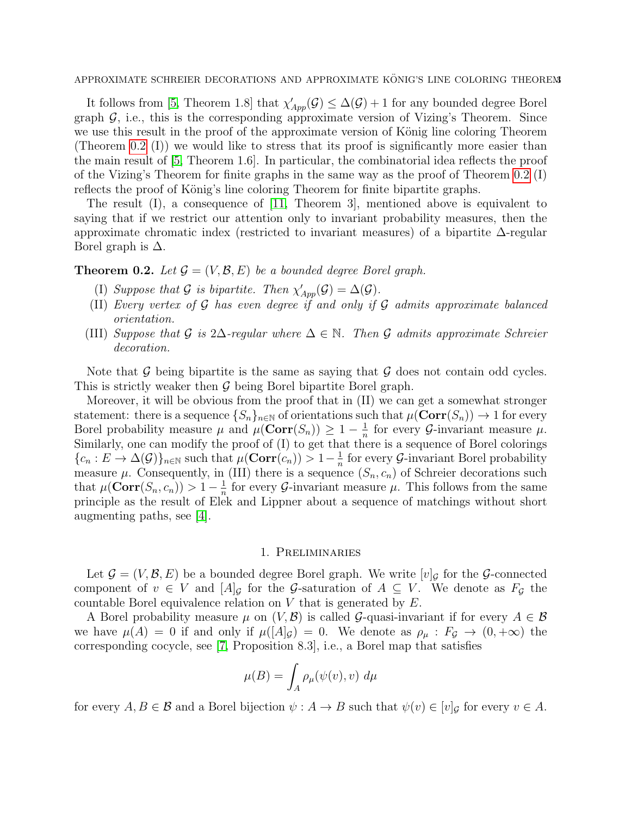APPROXIMATE SCHREIER DECORATIONS AND APPROXIMATE KÖNIG'S LINE COLORING THEOREM

It follows from [\[5,](#page-10-2) Theorem 1.8] that  $\chi'_{App}(\mathcal{G}) \leq \Delta(\mathcal{G}) + 1$  for any bounded degree Borel graph  $\mathcal{G}$ , i.e., this is the corresponding approximate version of Vizing's Theorem. Since we use this result in the proof of the approximate version of König line coloring Theorem (Theorem [0.2](#page-2-0) (I)) we would like to stress that its proof is significantly more easier than the main result of [\[5,](#page-10-2) Theorem 1.6]. In particular, the combinatorial idea reflects the proof of the Vizing's Theorem for finite graphs in the same way as the proof of Theorem [0.2](#page-2-0) (I) reflects the proof of König's line coloring Theorem for finite bipartite graphs.

The result (I), a consequence of [\[11,](#page-10-0) Theorem 3], mentioned above is equivalent to saying that if we restrict our attention only to invariant probability measures, then the approximate chromatic index (restricted to invariant measures) of a bipartite ∆-regular Borel graph is  $\Delta$ .

# <span id="page-2-0"></span>**Theorem 0.2.** Let  $\mathcal{G} = (V, \mathcal{B}, E)$  be a bounded degree Borel graph.

- (I) Suppose that G is bipartite. Then  $\chi'_{App}(\mathcal{G}) = \Delta(\mathcal{G})$ .
- (II) Every vertex of  $G$  has even degree if and only if  $G$  admits approximate balanced orientation.
- (III) Suppose that G is 2∆-regular where  $\Delta \in \mathbb{N}$ . Then G admits approximate Schreier decoration.

Note that  $\mathcal G$  being bipartite is the same as saying that  $\mathcal G$  does not contain odd cycles. This is strictly weaker then  $\mathcal G$  being Borel bipartite Borel graph.

Moreover, it will be obvious from the proof that in (II) we can get a somewhat stronger statement: there is a sequence  $\{S_n\}_{n\in\mathbb{N}}$  of orientations such that  $\mu(\text{Corr}(S_n)) \to 1$  for every Borel probability measure  $\mu$  and  $\mu(\text{Corr}(S_n)) \geq 1 - \frac{1}{n}$  $\frac{1}{n}$  for every *G*-invariant measure  $\mu$ . Similarly, one can modify the proof of (I) to get that there is a sequence of Borel colorings  ${c_n : E \to \Delta(G)}_{n \in \mathbb{N}}$  such that  $\mu(\operatorname{Corr}(c_n)) > 1-\frac{1}{n}$  $\frac{1}{n}$  for every  $\mathcal G$ -invariant Borel probability measure  $\mu$ . Consequently, in (III) there is a sequence  $(S_n, c_n)$  of Schreier decorations such that  $\mu(\operatorname{Corr}(S_n, c_n)) > 1 - \frac{1}{n}$  $\frac{1}{n}$  for every  $\mathcal{G}$ -invariant measure  $\mu$ . This follows from the same principle as the result of Elek and Lippner about a sequence of matchings without short augmenting paths, see [\[4\]](#page-10-3).

#### 1. Preliminaries

Let  $\mathcal{G} = (V, \mathcal{B}, E)$  be a bounded degree Borel graph. We write  $[v]_G$  for the G-connected component of  $v \in V$  and  $[A]_G$  for the G-saturation of  $A \subseteq V$ . We denote as  $F_G$  the countable Borel equivalence relation on V that is generated by E.

A Borel probability measure  $\mu$  on  $(V, \mathcal{B})$  is called G-quasi-invariant if for every  $A \in \mathcal{B}$ we have  $\mu(A) = 0$  if and only if  $\mu([A]_{\mathcal{G}}) = 0$ . We denote as  $\rho_{\mu}: F_{\mathcal{G}} \to (0, +\infty)$  the corresponding cocycle, see [\[7,](#page-10-4) Proposition 8.3], i.e., a Borel map that satisfies

$$
\mu(B) = \int_A \rho_\mu(\psi(v), v) \ d\mu
$$

for every  $A, B \in \mathcal{B}$  and a Borel bijection  $\psi : A \to B$  such that  $\psi(v) \in [v]_{\mathcal{G}}$  for every  $v \in A$ .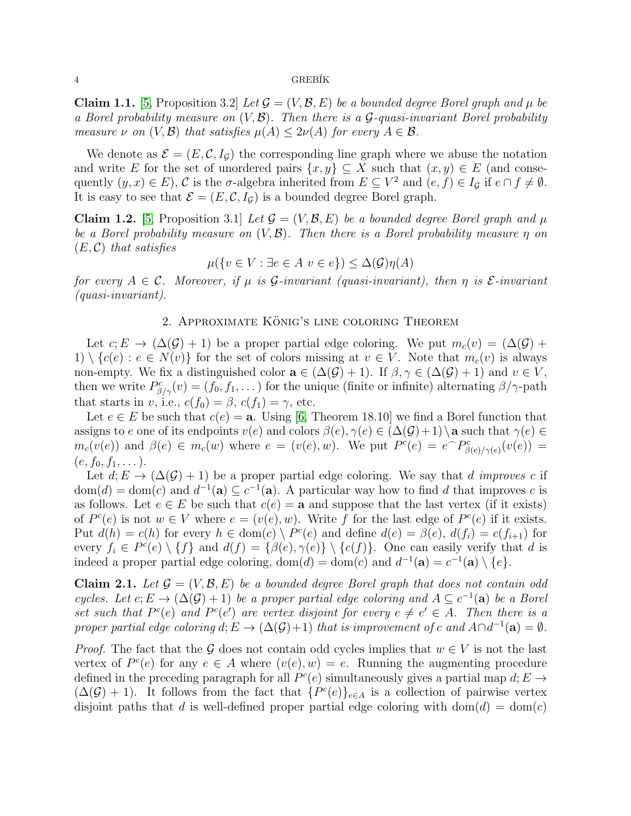#### 4 GREB´IK

<span id="page-3-1"></span>**Claim 1.1.** [\[5,](#page-10-2) Proposition 3.2] Let  $\mathcal{G} = (V, \mathcal{B}, E)$  be a bounded degree Borel graph and  $\mu$  be a Borel probability measure on  $(V, \mathcal{B})$ . Then there is a  $\mathcal{G}$ -quasi-invariant Borel probability measure  $\nu$  on  $(V, \mathcal{B})$  that satisfies  $\mu(A) \leq 2\nu(A)$  for every  $A \in \mathcal{B}$ .

We denote as  $\mathcal{E} = (E, \mathcal{C}, I_G)$  the corresponding line graph where we abuse the notation and write E for the set of unordered pairs  $\{x, y\} \subseteq X$  such that  $(x, y) \in E$  (and consequently  $(y, x) \in E$ ), C is the  $\sigma$ -algebra inherited from  $E \subseteq V^2$  and  $(e, f) \in I_{\mathcal{G}}$  if  $e \cap f \neq \emptyset$ . It is easy to see that  $\mathcal{E} = (E, \mathcal{C}, I_{\mathcal{G}})$  is a bounded degree Borel graph.

<span id="page-3-2"></span>**Claim 1.2.** [\[5,](#page-10-2) Proposition 3.1] Let  $\mathcal{G} = (V, \mathcal{B}, E)$  be a bounded degree Borel graph and  $\mu$ be a Borel probability measure on  $(V, \mathcal{B})$ . Then there is a Borel probability measure  $\eta$  on  $(E, \mathcal{C})$  that satisfies

$$
\mu({v \in V : \exists e \in A \ v \in e}) \le \Delta(\mathcal{G})\eta(A)
$$

for every  $A \in \mathcal{C}$ . Moreover, if  $\mu$  is  $\mathcal{G}$ -invariant (quasi-invariant), then  $\eta$  is  $\mathcal{E}$ -invariant (quasi-invariant).

## 2. APPROXIMATE KÖNIG'S LINE COLORING THEOREM

Let  $c: E \to (\Delta(\mathcal{G}) + 1)$  be a proper partial edge coloring. We put  $m_c(v) = (\Delta(\mathcal{G}) +$ 1)  $\{c(e): e \in N(v)\}$  for the set of colors missing at  $v \in V$ . Note that  $m_c(v)$  is always non-empty. We fix a distinguished color  $\mathbf{a} \in (\Delta(\mathcal{G}) + 1)$ . If  $\beta, \gamma \in (\Delta(\mathcal{G}) + 1)$  and  $v \in V$ , then we write  $P_{\beta/\gamma}^c(v) = (f_0, f_1, \dots)$  for the unique (finite or infinite) alternating  $\beta/\gamma$ -path that starts in v, i.e.,  $c(f_0) = \beta$ ,  $c(f_1) = \gamma$ , etc.

Let  $e \in E$  be such that  $c(e) = \mathbf{a}$ . Using [\[6,](#page-10-5) Theorem 18.10] we find a Borel function that assigns to e one of its endpoints  $v(e)$  and colors  $\beta(e), \gamma(e) \in (\Delta(\mathcal{G})+1) \setminus \mathbf{a}$  such that  $\gamma(e) \in$  $m_c(v(e))$  and  $\beta(e) \in m_c(w)$  where  $e = (v(e), w)$ . We put  $P^c(e) = e^{\frown} P^c_{\beta(e)/\gamma(e)}(v(e)) =$  $(e, f_0, f_1, \dots).$ 

Let  $d: E \to (\Delta(\mathcal{G}) + 1)$  be a proper partial edge coloring. We say that d improves c if  $dom(d) = dom(c)$  and  $d^{-1}(\mathbf{a}) \subseteq c^{-1}(\mathbf{a})$ . A particular way how to find d that improves c is as follows. Let  $e \in E$  be such that  $c(e) = \mathbf{a}$  and suppose that the last vertex (if it exists) of  $P^c(e)$  is not  $w \in V$  where  $e = (v(e), w)$ . Write f for the last edge of  $P^c(e)$  if it exists. Put  $d(h) = c(h)$  for every  $h \in \text{dom}(c) \setminus P^c(e)$  and define  $d(e) = \beta(e), d(f_i) = c(f_{i+1})$  for every  $f_i \in P^c(e) \setminus \{f\}$  and  $d(f) = \{\beta(e), \gamma(e)\} \setminus \{c(f)\}\)$ . One can easily verify that d is indeed a proper partial edge coloring,  $dom(d) = dom(c)$  and  $d^{-1}(\mathbf{a}) = c^{-1}(\mathbf{a}) \setminus \{e\}.$ 

<span id="page-3-0"></span>**Claim 2.1.** Let  $\mathcal{G} = (V, \mathcal{B}, E)$  be a bounded degree Borel graph that does not contain odd cycles. Let  $c; E \to (\Delta(\mathcal{G}) + 1)$  be a proper partial edge coloring and  $A \subseteq c^{-1}(\mathbf{a})$  be a Borel set such that  $P^c(e)$  and  $P^c(e')$  are vertex disjoint for every  $e \neq e' \in A$ . Then there is a proper partial edge coloring  $d; E \to (\Delta(\mathcal{G})+1)$  that is improvement of c and  $A \cap d^{-1}(\mathbf{a}) = \emptyset$ .

*Proof.* The fact that the G does not contain odd cycles implies that  $w \in V$  is not the last vertex of  $P^c(e)$  for any  $e \in A$  where  $(v(e), w) = e$ . Running the augmenting procedure defined in the preceding paragraph for all  $P^c(e)$  simultaneously gives a partial map  $d; E \rightarrow$  $(\Delta(\mathcal{G})+1)$ . It follows from the fact that  $\{P^c(e)\}_{e\in A}$  is a collection of pairwise vertex disjoint paths that d is well-defined proper partial edge coloring with dom(d) = dom(c)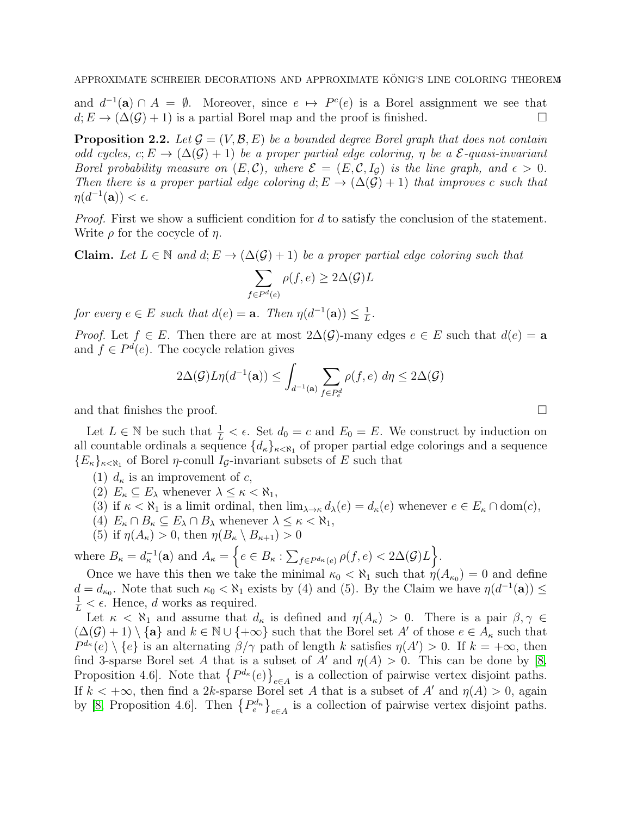and  $d^{-1}(\mathbf{a}) \cap A = \emptyset$ . Moreover, since  $e \mapsto P^c(e)$  is a Borel assignment we see that  $d: E \to (\Delta(\mathcal{G}) + 1)$  is a partial Borel map and the proof is finished.

<span id="page-4-0"></span>**Proposition 2.2.** Let  $\mathcal{G} = (V, \mathcal{B}, E)$  be a bounded degree Borel graph that does not contain odd cycles,  $c: E \to (\Delta(\mathcal{G}) + 1)$  be a proper partial edge coloring,  $\eta$  be a  $\mathcal{E}$ -quasi-invariant Borel probability measure on  $(E, \mathcal{C})$ , where  $\mathcal{E} = (E, \mathcal{C}, I_{\mathcal{G}})$  is the line graph, and  $\epsilon > 0$ . Then there is a proper partial edge coloring  $d: E \to (\Delta(\mathcal{G}) + 1)$  that improves c such that  $\eta(d^{-1}(\mathbf{a})) < \epsilon.$ 

*Proof.* First we show a sufficient condition for  $d$  to satisfy the conclusion of the statement. Write  $\rho$  for the cocycle of  $\eta$ .

**Claim.** Let  $L \in \mathbb{N}$  and  $d; E \to (\Delta(\mathcal{G}) + 1)$  be a proper partial edge coloring such that

$$
\sum_{f \in P^d(e)} \rho(f, e) \ge 2\Delta(\mathcal{G})L
$$

for every  $e \in E$  such that  $d(e) = \mathbf{a}$ . Then  $\eta(d^{-1}(\mathbf{a})) \leq \frac{1}{L}$  $\frac{1}{L}$ .

*Proof.* Let  $f \in E$ . Then there are at most  $2\Delta(\mathcal{G})$ -many edges  $e \in E$  such that  $d(e) = a$ and  $f \in P^d(e)$ . The cocycle relation gives

$$
2\Delta(\mathcal{G})L\eta(d^{-1}(\mathbf{a})) \le \int_{d^{-1}(\mathbf{a})} \sum_{f \in P_e^d} \rho(f,e) \, d\eta \le 2\Delta(\mathcal{G})
$$

and that finishes the proof.

Let  $L \in \mathbb{N}$  be such that  $\frac{1}{L} < \epsilon$ . Set  $d_0 = c$  and  $E_0 = E$ . We construct by induction on all countable ordinals a sequence  $\{d_{\kappa}\}_{{\kappa}<\aleph_1}$  of proper partial edge colorings and a sequence  ${E_{\kappa}}_{\kappa<\aleph_1}$  of Borel *η*-conull *I<sub>G</sub>*-invariant subsets of *E* such that

- (1)  $d_{\kappa}$  is an improvement of c,
- (2)  $E_{\kappa} \subseteq E_{\lambda}$  whenever  $\lambda \leq \kappa < \aleph_1$ ,

(3) if  $\kappa < \aleph_1$  is a limit ordinal, then  $\lim_{\lambda \to \kappa} d_{\lambda}(e) = d_{\kappa}(e)$  whenever  $e \in E_{\kappa} \cap \text{dom}(c)$ ,

- (4)  $E_{\kappa} \cap B_{\kappa} \subseteq E_{\lambda} \cap B_{\lambda}$  whenever  $\lambda \leq \kappa < \aleph_1$ ,
- (5) if  $\eta(A_{\kappa}) > 0$ , then  $\eta(B_{\kappa} \setminus B_{\kappa+1}) > 0$

where  $B_{\kappa} = d_{\kappa}^{-1}(\mathbf{a})$  and  $A_{\kappa} = \left\{ e \in B_{\kappa} : \sum_{f \in P^{d_{\kappa}}(e)} \rho(f, e) < 2\Delta(\mathcal{G})L \right\}.$ 

Once we have this then we take the minimal  $\kappa_0 < \aleph_1$  such that  $\eta(A_{\kappa_0}) = 0$  and define  $d = d_{\kappa_0}$ . Note that such  $\kappa_0 < \aleph_1$  exists by (4) and (5). By the Claim we have  $\eta(d^{-1}(\mathbf{a})) \le$  $\frac{1}{L} < \epsilon$ . Hence, d works as required.

Let  $\kappa < \aleph_1$  and assume that  $d_{\kappa}$  is defined and  $\eta(A_{\kappa}) > 0$ . There is a pair  $\beta, \gamma \in$  $(\Delta(\mathcal{G})+1) \setminus {\bf{a}}$  and  $k \in \mathbb{N} \cup {\bf{\infty}}$  such that the Borel set A' of those  $e \in A_{\kappa}$  such that  $P^{d_{\kappa}}(e) \setminus \{e\}$  is an alternating  $\beta/\gamma$  path of length k satisfies  $\eta(A') > 0$ . If  $k = +\infty$ , then find 3-sparse Borel set A that is a subset of A' and  $\eta(A) > 0$ . This can be done by [\[8,](#page-10-6) Proposition 4.6]. Note that  $\{P^{d_{\kappa}}(e)\}_{e \in A}$  is a collection of pairwise vertex disjoint paths. If  $k < +\infty$ , then find a 2k-sparse Borel set A that is a subset of A' and  $\eta(A) > 0$ , again by [\[8,](#page-10-6) Proposition 4.6]. Then  ${P_e^{d_{\kappa}}}_{e \in A}$  is a collection of pairwise vertex disjoint paths.

$$
\qquad \qquad \Box
$$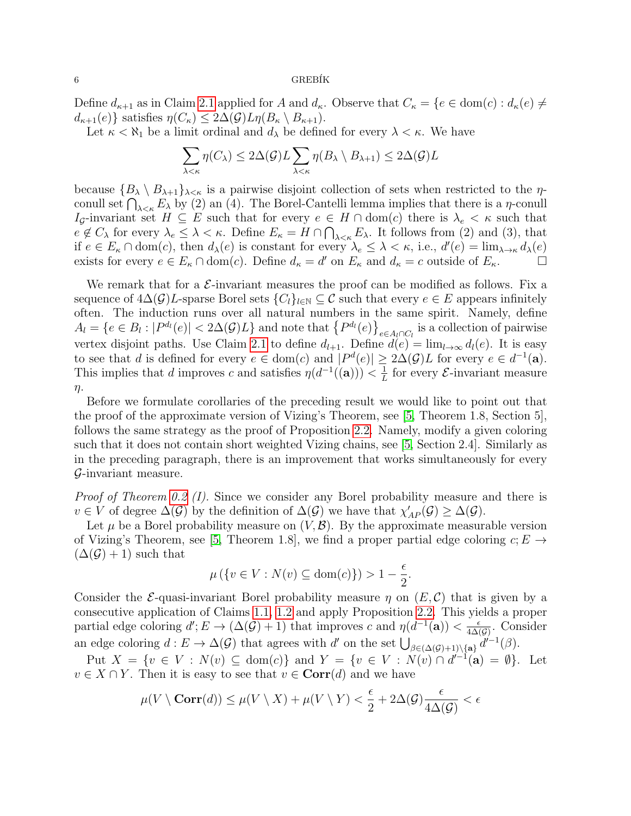#### $6$  GREBÍK

Define  $d_{\kappa+1}$  as in Claim [2.1](#page-3-0) applied for A and  $d_{\kappa}$ . Observe that  $C_{\kappa} = \{e \in \text{dom}(c) : d_{\kappa}(e) \neq 0\}$  $d_{\kappa+1}(e)$ } satisfies  $\eta(C_{\kappa}) \leq 2\Delta(\mathcal{G})L\eta(B_{\kappa} \setminus B_{\kappa+1}).$ 

Let  $\kappa < \aleph_1$  be a limit ordinal and  $d_\lambda$  be defined for every  $\lambda < \kappa$ . We have

$$
\sum_{\lambda < \kappa} \eta(C_{\lambda}) \leq 2\Delta(\mathcal{G})L \sum_{\lambda < \kappa} \eta(B_{\lambda} \setminus B_{\lambda+1}) \leq 2\Delta(\mathcal{G})L
$$

because  ${B_\lambda \setminus B_{\lambda+1}}_{\lambda<\kappa}$  is a pairwise disjoint collection of sets when restricted to the  $\eta$ conull set  $\bigcap_{\lambda \leq \kappa} E_{\lambda}$  by (2) an (4). The Borel-Cantelli lemma implies that there is a  $\eta$ -conull Ig-invariant set  $H \subseteq E$  such that for every  $e \in H \cap \text{dom}(c)$  there is  $\lambda_e < \kappa$  such that  $e \notin C_{\lambda}$  for every  $\lambda_e \leq \lambda < \kappa$ . Define  $E_{\kappa} = H \cap \bigcap_{\lambda < \kappa} E_{\lambda}$ . It follows from (2) and (3), that if  $e \in E_{\kappa} \cap \text{dom}(c)$ , then  $d_{\lambda}(e)$  is constant for every  $\lambda_e \leq \lambda < \kappa$ , i.e.,  $d'(e) = \lim_{\lambda \to \kappa} d_{\lambda}(e)$ exists for every  $e \in E_{\kappa} \cap \text{dom}(c)$ . Define  $d_{\kappa} = d'$  on  $E_{\kappa}$  and  $d_{\kappa} = c$  outside of  $E_{\kappa}$ .

We remark that for a  $\mathcal{E}$ -invariant measures the proof can be modified as follows. Fix a sequence of  $4\Delta(\mathcal{G})L$ -sparse Borel sets  $\{C_l\}_{l\in\mathbb{N}}\subseteq\mathcal{C}$  such that every  $e\in E$  appears infinitely often. The induction runs over all natural numbers in the same spirit. Namely, define  $A_l = \{e \in B_l : |P^{d_l}(e)| < 2\Delta(\mathcal{G})L\}$  and note that  $\{P^{d_l}(e)\}_{e \in A_l \cap C_l}$  is a collection of pairwise vertex disjoint paths. Use Claim [2.1](#page-3-0) to define  $d_{l+1}$ . Define  $d(e) = \lim_{l \to \infty} d_l(e)$ . It is easy to see that d is defined for every  $e \in \text{dom}(c)$  and  $|P^d(e)| \geq 2\Delta(\mathcal{G})L$  for every  $e \in d^{-1}(\mathbf{a})$ . This implies that d improves c and satisfies  $\eta(d^{-1}((\mathbf{a}))) < \frac{1}{l}$  $\frac{1}{L}$  for every  $\mathcal{E}$ -invariant measure  $\eta$ .

Before we formulate corollaries of the preceding result we would like to point out that the proof of the approximate version of Vizing's Theorem, see [\[5,](#page-10-2) Theorem 1.8, Section 5], follows the same strategy as the proof of Proposition [2.2.](#page-4-0) Namely, modify a given coloring such that it does not contain short weighted Vizing chains, see [\[5,](#page-10-2) Section 2.4]. Similarly as in the preceding paragraph, there is an improvement that works simultaneously for every G-invariant measure.

Proof of Theorem [0.2](#page-2-0) (I). Since we consider any Borel probability measure and there is  $v \in V$  of degree  $\Delta(G)$  by the definition of  $\Delta(G)$  we have that  $\chi'_{AP}(\mathcal{G}) \geq \Delta(G)$ .

Let  $\mu$  be a Borel probability measure on  $(V, \mathcal{B})$ . By the approximate measurable version of Vizing's Theorem, see [\[5,](#page-10-2) Theorem 1.8], we find a proper partial edge coloring  $c; E \rightarrow$  $(\Delta(\mathcal{G})+1)$  such that

$$
\mu\left(\left\{v \in V : N(v) \subseteq \text{dom}(c)\right\}\right) > 1 - \frac{\epsilon}{2}.
$$

Consider the *E*-quasi-invariant Borel probability measure  $\eta$  on  $(E, C)$  that is given by a consecutive application of Claims [1.1,](#page-3-1) [1.2](#page-3-2) and apply Proposition [2.2.](#page-4-0) This yields a proper partial edge coloring  $d'$ ;  $E \to (\Delta(\mathcal{G}) + 1)$  that improves c and  $\eta(d^{-1}(\mathbf{a})) < \frac{\epsilon}{4\Delta(\mathcal{G})}$  $\frac{\epsilon}{4\Delta(\mathcal{G})}$ . Consider an edge coloring  $d: E \to \Delta(\mathcal{G})$  that agrees with d' on the set  $\bigcup_{\beta \in (\Delta(\mathcal{G})+1)\setminus {\{\mathbf{a}\}}}\,d'^{-1}(\beta)$ .

Put  $X = \{v \in V : N(v) \subseteq \text{dom}(c)\}\$ and  $Y = \{v \in V : N(v) \cap d'^{-1}(\mathbf{a}) = \emptyset\}\$ . Let  $v \in X \cap Y$ . Then it is easy to see that  $v \in \text{Corr}(d)$  and we have

$$
\mu(V \setminus \text{Corr}(d)) \le \mu(V \setminus X) + \mu(V \setminus Y) < \frac{\epsilon}{2} + 2\Delta(\mathcal{G}) \frac{\epsilon}{4\Delta(\mathcal{G})} < \epsilon
$$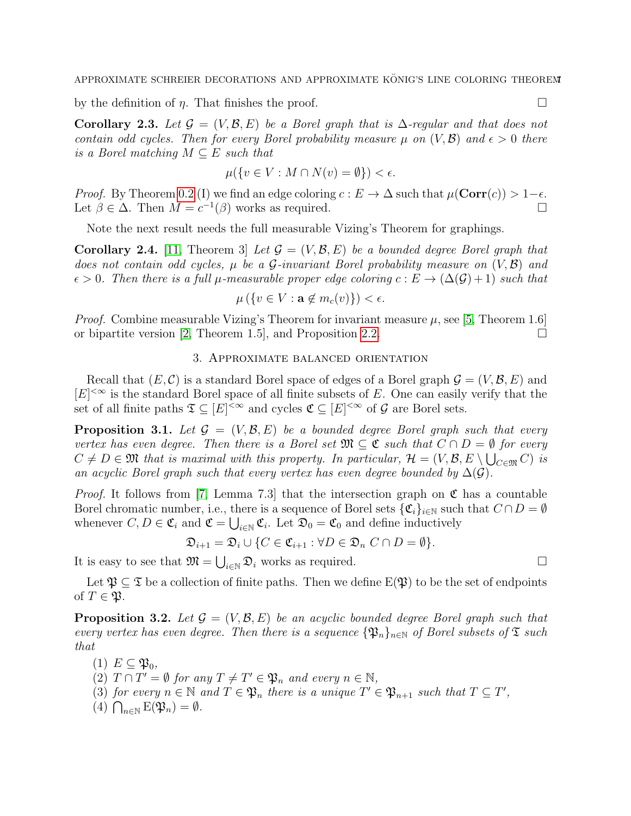by the definition of  $\eta$ . That finishes the proof.

<span id="page-6-2"></span>Corollary 2.3. Let  $\mathcal{G} = (V, \mathcal{B}, E)$  be a Borel graph that is  $\Delta$ -regular and that does not contain odd cycles. Then for every Borel probability measure  $\mu$  on  $(V,\mathcal{B})$  and  $\epsilon > 0$  there is a Borel matching  $M \subseteq E$  such that

$$
\mu({v \in V : M \cap N(v) = \emptyset}) < \epsilon.
$$

*Proof.* By Theorem [0.2](#page-2-0) (I) we find an edge coloring  $c : E \to \Delta$  such that  $\mu(\operatorname{Corr}(c)) > 1-\epsilon$ . Let  $\beta \in \Delta$ . Then  $M = c^{-1}(\beta)$  works as required.

Note the next result needs the full measurable Vizing's Theorem for graphings.

**Corollary 2.4.** [\[11,](#page-10-0) Theorem 3] Let  $\mathcal{G} = (V, \mathcal{B}, E)$  be a bounded degree Borel graph that does not contain odd cycles,  $\mu$  be a G-invariant Borel probability measure on  $(V, \mathcal{B})$  and  $\epsilon > 0$ . Then there is a full  $\mu$ -measurable proper edge coloring  $c : E \to (\Delta(\mathcal{G}) + 1)$  such that

$$
\mu\left(\{v \in V : \mathbf{a} \notin m_c(v)\}\right) < \epsilon.
$$

*Proof.* Combine measurable Vizing's Theorem for invariant measure  $\mu$ , see [\[5,](#page-10-2) Theorem 1.6] or bipartite version [\[2,](#page-9-1) Theorem 1.5], and Proposition [2.2.](#page-4-0)

## 3. Approximate balanced orientation

Recall that  $(E, \mathcal{C})$  is a standard Borel space of edges of a Borel graph  $\mathcal{G} = (V, \mathcal{B}, E)$  and  $[E]^{<\infty}$  is the standard Borel space of all finite subsets of E. One can easily verify that the set of all finite paths  $\mathfrak{T} \subseteq [E]^{<\infty}$  and cycles  $\mathfrak{C} \subseteq [E]^{<\infty}$  of  $\mathcal G$  are Borel sets.

<span id="page-6-0"></span>**Proposition 3.1.** Let  $\mathcal{G} = (V, \mathcal{B}, E)$  be a bounded degree Borel graph such that every vertex has even degree. Then there is a Borel set  $\mathfrak{M} \subseteq \mathfrak{C}$  such that  $C \cap D = \emptyset$  for every  $C \neq D \in \mathfrak{M}$  that is maximal with this property. In particular,  $\mathcal{H} = (V, \mathcal{B}, E \setminus \bigcup_{C \in \mathfrak{M}} C)$  is an acyclic Borel graph such that every vertex has even degree bounded by  $\Delta(\mathcal{G})$ .

*Proof.* It follows from [\[7,](#page-10-4) Lemma 7.3] that the intersection graph on  $\mathfrak{C}$  has a countable Borel chromatic number, i.e., there is a sequence of Borel sets  $\{\mathfrak{C}_i\}_{i\in\mathbb{N}}$  such that  $C \cap D = \emptyset$ whenever  $C, D \in \mathfrak{C}_i$  and  $\mathfrak{C} = \bigcup_{i \in \mathbb{N}} \mathfrak{C}_i$ . Let  $\mathfrak{D}_0 = \mathfrak{C}_0$  and define inductively

$$
\mathfrak{D}_{i+1} = \mathfrak{D}_i \cup \{ C \in \mathfrak{C}_{i+1} : \forall D \in \mathfrak{D}_n \ C \cap D = \emptyset \}.
$$

It is easy to see that  $\mathfrak{M} = \bigcup_{i \in \mathbb{N}} \mathfrak{D}_i$  works as required.

Let  $\mathfrak{P} \subseteq \mathfrak{T}$  be a collection of finite paths. Then we define  $E(\mathfrak{P})$  to be the set of endpoints of  $T \in \mathfrak{P}$ .

<span id="page-6-1"></span>**Proposition 3.2.** Let  $\mathcal{G} = (V, \mathcal{B}, E)$  be an acyclic bounded degree Borel graph such that every vertex has even degree. Then there is a sequence  $\{\mathfrak{P}_n\}_{n\in\mathbb{N}}$  of Borel subsets of  $\mathfrak T$  such that

- $(1)$   $E \subseteq \mathfrak{P}_0$ ,
- (2)  $T \cap T' = \emptyset$  for any  $T \neq T' \in \mathfrak{P}_n$  and every  $n \in \mathbb{N}$ ,
- (3) for every  $n \in \mathbb{N}$  and  $T \in \mathfrak{P}_n$  there is a unique  $T' \in \mathfrak{P}_{n+1}$  such that  $T \subseteq T'$ ,
- (4)  $\bigcap_{n\in\mathbb{N}}\text{E}(\mathfrak{P}_n)=\emptyset$ .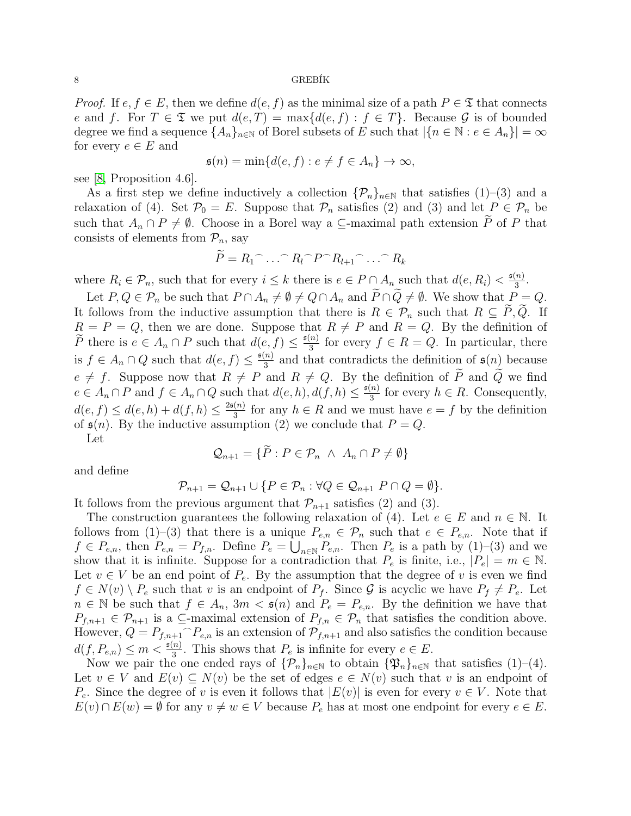#### $8$  GREBÍK

*Proof.* If  $e, f \in E$ , then we define  $d(e, f)$  as the minimal size of a path  $P \in \mathfrak{T}$  that connects e and f. For  $T \in \mathfrak{T}$  we put  $d(e,T) = \max\{d(e,f) : f \in T\}$ . Because G is of bounded degree we find a sequence  $\{A_n\}_{n\in\mathbb{N}}$  of Borel subsets of E such that  $|\{n\in\mathbb{N}:e\in A_n\}|=\infty$ for every  $e \in E$  and

$$
\mathfrak{s}(n) = \min\{d(e, f) : e \neq f \in A_n\} \to \infty,
$$

see [\[8,](#page-10-6) Proposition 4.6].

As a first step we define inductively a collection  $\{\mathcal{P}_n\}_{n\in\mathbb{N}}$  that satisfies  $(1)-(3)$  and a relaxation of (4). Set  $\mathcal{P}_0 = E$ . Suppose that  $\mathcal{P}_n$  satisfies (2) and (3) and let  $P \in \mathcal{P}_n$  be such that  $A_n \cap P \neq \emptyset$ . Choose in a Borel way a ⊆-maximal path extension  $\widetilde{P}$  of P that consists of elements from  $\mathcal{P}_n$ , say

$$
\widetilde{P} = R_1 \cap \ldots \cap R_l \cap P \cap R_{l+1} \cap \ldots \cap R_k
$$

where  $R_i \in \mathcal{P}_n$ , such that for every  $i \leq k$  there is  $e \in P \cap A_n$  such that  $d(e, R_i) < \frac{\mathfrak{s}(n)}{3}$  $\frac{n)}{3}$ .

Let  $P, Q \in \mathcal{P}_n$  be such that  $P \cap A_n \neq \emptyset \neq Q \cap A_n$  and  $\widetilde{P} \cap \widetilde{Q} \neq \emptyset$ . We show that  $P = Q$ . It follows from the inductive assumption that there is  $R \in \mathcal{P}_n$  such that  $R \subseteq \tilde{P}, \tilde{Q}$ . If  $R = P = Q$ , then we are done. Suppose that  $R \neq P$  and  $R = Q$ . By the definition of  $\widetilde{P}$  there is  $e \in A_n \cap P$  such that  $d(e, f) \leq \frac{\mathfrak{s}(n)}{3}$  $\frac{n}{3}$  for every  $f \in R = Q$ . In particular, there is  $f \in A_n \cap Q$  such that  $d(e, f) \leq \frac{f(n)}{3}$  $\frac{n}{3}$  and that contradicts the definition of  $\mathfrak{s}(n)$  because  $e \neq f$ . Suppose now that  $R \neq P$  and  $R \neq Q$ . By the definition of  $\tilde{P}$  and  $\tilde{Q}$  we find  $e \in A_n \cap P$  and  $f \in A_n \cap Q$  such that  $d(e, h), d(f, h) \leq \frac{\mathfrak{s}(n)}{3}$  $\frac{n}{3}$  for every  $h \in R$ . Consequently,  $d(e, f) \leq d(e, h) + d(f, h) \leq \frac{2\mathfrak{s}(n)}{3}$  $\frac{(n)}{3}$  for any  $h \in R$  and we must have  $e = f$  by the definition of  $\mathfrak{s}(n)$ . By the inductive assumption (2) we conclude that  $P = Q$ . Let

$$
\mathcal{Q}_{n+1} = \{ \widetilde{P} : P \in \mathcal{P}_n \ \land \ A_n \cap P \neq \emptyset \}
$$

and define

$$
\mathcal{P}_{n+1} = \mathcal{Q}_{n+1} \cup \{ P \in \mathcal{P}_n : \forall Q \in \mathcal{Q}_{n+1} \; P \cap Q = \emptyset \}.
$$

It follows from the previous argument that  $\mathcal{P}_{n+1}$  satisfies (2) and (3).

The construction guarantees the following relaxation of (4). Let  $e \in E$  and  $n \in \mathbb{N}$ . It follows from (1)–(3) that there is a unique  $P_{e,n} \in \mathcal{P}_n$  such that  $e \in P_{e,n}$ . Note that if  $f \in P_{e,n}$ , then  $P_{e,n} = P_{f,n}$ . Define  $P_e = \bigcup_{n \in \mathbb{N}} P_{e,n}$ . Then  $P_e$  is a path by (1)–(3) and we show that it is infinite. Suppose for a contradiction that  $P_e$  is finite, i.e.,  $|P_e| = m \in \mathbb{N}$ . Let  $v \in V$  be an end point of  $P_e$ . By the assumption that the degree of v is even we find  $f \in N(v) \setminus P_e$  such that v is an endpoint of  $P_f$ . Since G is acyclic we have  $P_f \neq P_e$ . Let  $n \in \mathbb{N}$  be such that  $f \in A_n$ ,  $3m < \mathfrak{s}(n)$  and  $P_e = P_{e,n}$ . By the definition we have that  $P_{f,n+1} \in \mathcal{P}_{n+1}$  is a  $\subseteq$ -maximal extension of  $P_{f,n} \in \mathcal{P}_n$  that satisfies the condition above. However,  $Q = P_{f,n+1}^T P_{e,n}$  is an extension of  $\mathcal{P}_{f,n+1}$  and also satisfies the condition because  $d(f, P_{e,n}) \leq m < \frac{\epsilon(n)}{3}$ . This shows that  $P_e$  is infinite for every  $e \in E$ .

Now we pair the one ended rays of  $\{\mathcal{P}_n\}_{n\in\mathbb{N}}$  to obtain  $\{\mathfrak{P}_n\}_{n\in\mathbb{N}}$  that satisfies (1)–(4). Let  $v \in V$  and  $E(v) \subseteq N(v)$  be the set of edges  $e \in N(v)$  such that v is an endpoint of  $P_e$ . Since the degree of v is even it follows that  $|E(v)|$  is even for every  $v \in V$ . Note that  $E(v) \cap E(w) = \emptyset$  for any  $v \neq w \in V$  because  $P_e$  has at most one endpoint for every  $e \in E$ .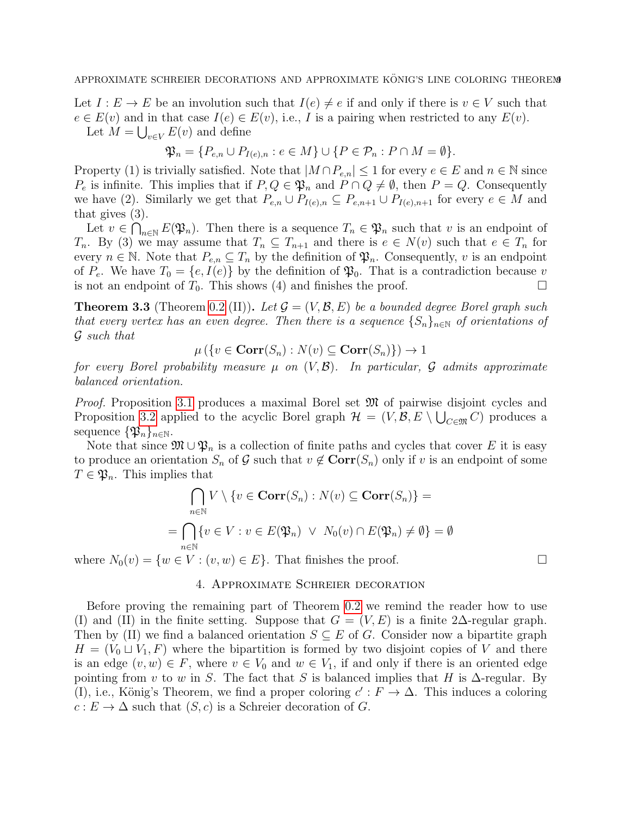Let  $I: E \to E$  be an involution such that  $I(e) \neq e$  if and only if there is  $v \in V$  such that  $e \in E(v)$  and in that case  $I(e) \in E(v)$ , i.e., I is a pairing when restricted to any  $E(v)$ . Let  $M = \bigcup_{v \in V} E(v)$  and define

$$
\mathfrak{P}_n = \{P_{e,n} \cup P_{I(e),n} : e \in M\} \cup \{P \in \mathcal{P}_n : P \cap M = \emptyset\}.
$$

Property (1) is trivially satisfied. Note that  $|M \cap P_{e,n}| \leq 1$  for every  $e \in E$  and  $n \in \mathbb{N}$  since  $P_e$  is infinite. This implies that if  $P, Q \in \mathfrak{P}_n$  and  $P \cap Q \neq \emptyset$ , then  $P = Q$ . Consequently we have (2). Similarly we get that  $P_{e,n} \cup P_{I(e),n} \subseteq P_{e,n+1} \cup P_{I(e),n+1}$  for every  $e \in M$  and that gives (3).

Let  $v \in \bigcap_{n\in\mathbb{N}} E(\mathfrak{P}_n)$ . Then there is a sequence  $T_n \in \mathfrak{P}_n$  such that v is an endpoint of  $T_n$ . By (3) we may assume that  $T_n \subseteq T_{n+1}$  and there is  $e \in N(v)$  such that  $e \in T_n$  for every  $n \in \mathbb{N}$ . Note that  $P_{e,n} \subseteq T_n$  by the definition of  $\mathfrak{P}_n$ . Consequently, v is an endpoint of  $P_e$ . We have  $T_0 = \{e, I(e)\}\$  by the definition of  $\mathfrak{P}_0$ . That is a contradiction because v is not an endpoint of  $T_0$ . This shows (4) and finishes the proof.

<span id="page-8-0"></span>**Theorem 3.3** (Theorem [0.2](#page-2-0) (II)). Let  $\mathcal{G} = (V, \mathcal{B}, E)$  be a bounded degree Borel graph such that every vertex has an even degree. Then there is a sequence  $\{S_n\}_{n\in\mathbb{N}}$  of orientations of G such that

 $\mu(\{v \in \mathbf{Corr}(S_n) : N(v) \subseteq \mathbf{Corr}(S_n)\}) \to 1$ 

for every Borel probability measure  $\mu$  on  $(V, \mathcal{B})$ . In particular,  $\mathcal G$  admits approximate balanced orientation.

Proof. Proposition [3.1](#page-6-0) produces a maximal Borel set  $\mathfrak{M}$  of pairwise disjoint cycles and Proposition [3.2](#page-6-1) applied to the acyclic Borel graph  $\mathcal{H} = (V, \mathcal{B}, E \setminus \bigcup_{C \in \mathfrak{M}} C)$  produces a sequence  $\{\mathfrak{P}_n\}_{n\in\mathbb{N}}$ .

Note that since  $\mathfrak{M} \cup \mathfrak{P}_n$  is a collection of finite paths and cycles that cover E it is easy to produce an orientation  $S_n$  of G such that  $v \notin \text{Corr}(S_n)$  only if v is an endpoint of some  $T \in \mathfrak{P}_n$ . This implies that

$$
\bigcap_{n\in\mathbb{N}} V \setminus \{v \in \operatorname{Corr}(S_n) : N(v) \subseteq \operatorname{Corr}(S_n)\} =
$$
  
= 
$$
\bigcap_{n\in\mathbb{N}} \{v \in V : v \in E(\mathfrak{P}_n) \ \lor \ N_0(v) \cap E(\mathfrak{P}_n) \neq \emptyset\} = \emptyset
$$

where  $N_0(v) = \{w \in V : (v, w) \in E\}$ . That finishes the proof.

# 4. Approximate Schreier decoration

Before proving the remaining part of Theorem [0.2](#page-2-0) we remind the reader how to use (I) and (II) in the finite setting. Suppose that  $G = (V, E)$  is a finite 2∆-regular graph. Then by (II) we find a balanced orientation  $S \subseteq E$  of G. Consider now a bipartite graph  $H = (V_0 \sqcup V_1, F)$  where the bipartition is formed by two disjoint copies of V and there is an edge  $(v, w) \in F$ , where  $v \in V_0$  and  $w \in V_1$ , if and only if there is an oriented edge pointing from v to w in S. The fact that S is balanced implies that H is  $\Delta$ -regular. By (I), i.e., König's Theorem, we find a proper coloring  $c': F \to \Delta$ . This induces a coloring  $c: E \to \Delta$  such that  $(S, c)$  is a Schreier decoration of G.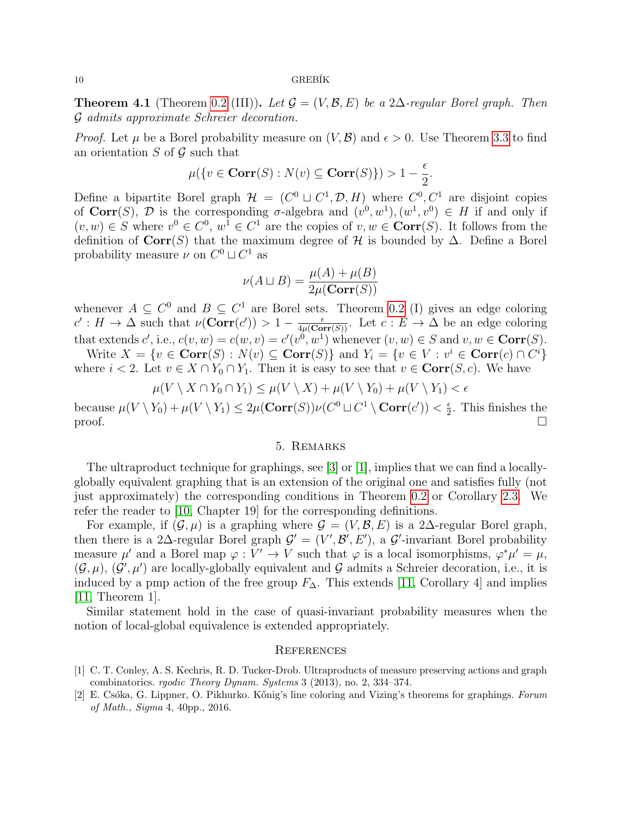#### 10 GREB´IK

**Theorem 4.1** (Theorem [0.2](#page-2-0) (III)). Let  $\mathcal{G} = (V, \mathcal{B}, E)$  be a 2∆-regular Borel graph. Then G admits approximate Schreier decoration.

*Proof.* Let  $\mu$  be a Borel probability measure on  $(V, \mathcal{B})$  and  $\epsilon > 0$ . Use Theorem [3.3](#page-8-0) to find an orientation  $S$  of  $\mathcal G$  such that

$$
\mu({v \in \mathbf{Corr}(S) : N(v) \subseteq \mathbf{Corr}(S)} > 1 - \frac{\epsilon}{2}.
$$

Define a bipartite Borel graph  $\mathcal{H} = (C^0 \sqcup C^1, \mathcal{D}, H)$  where  $C^0, C^1$  are disjoint copies of Corr(S), D is the corresponding  $\sigma$ -algebra and  $(v^0, w^1), (w^1, v^0) \in H$  if and only if  $(v, w) \in S$  where  $v^0 \in C^0$ ,  $w^1 \in C^1$  are the copies of  $v, w \in \text{Corr}(S)$ . It follows from the definition of  $Corr(S)$  that the maximum degree of H is bounded by  $\Delta$ . Define a Borel probability measure  $\nu$  on  $C^0 \sqcup C^1$  as

$$
\nu(A \sqcup B) = \frac{\mu(A) + \mu(B)}{2\mu(\text{Corr}(S))}
$$

whenever  $A \subseteq C^0$  and  $B \subseteq C^1$  are Borel sets. Theorem [0.2](#page-2-0) (I) gives an edge coloring  $c': H \to \Delta$  such that  $\nu(\text{Corr}(c')) > 1 - \frac{\epsilon}{4\mu(\text{Corr}(S))}$ . Let  $c: E \to \Delta$  be an edge coloring that extends  $c'$ , i.e.,  $c(v, w) = c(w, v) = c'(v^0, w^1)$  whenever  $(v, w) \in S$  and  $v, w \in \text{Corr}(S)$ .

Write  $X = \{v \in \text{Corr}(S) : N(v) \subseteq \text{Corr}(S)\}\$  and  $Y_i = \{v \in V : v^i \in \text{Corr}(c) \cap C^i\}\$ where  $i < 2$ . Let  $v \in X \cap Y_0 \cap Y_1$ . Then it is easy to see that  $v \in \text{Corr}(S, c)$ . We have

$$
\mu(V \setminus X \cap Y_0 \cap Y_1) \le \mu(V \setminus X) + \mu(V \setminus Y_0) + \mu(V \setminus Y_1) < \epsilon
$$

because  $\mu(V \setminus Y_0) + \mu(V \setminus Y_1) \leq 2\mu(\operatorname{Corr}(S))\nu(C^0 \sqcup C^1 \setminus \operatorname{Corr}(c')) < \frac{\epsilon}{2}$  $\frac{\epsilon}{2}$ . This finishes the proof.  $\Box$ 

#### 5. Remarks

<span id="page-9-0"></span>The ultraproduct technique for graphings, see [\[3\]](#page-10-7) or [\[1\]](#page-9-2), implies that we can find a locallyglobally equivalent graphing that is an extension of the original one and satisfies fully (not just approximately) the corresponding conditions in Theorem [0.2](#page-2-0) or Corollary [2.3.](#page-6-2) We refer the reader to [\[10,](#page-10-8) Chapter 19] for the corresponding definitions.

For example, if  $(\mathcal{G}, \mu)$  is a graphing where  $\mathcal{G} = (V, \mathcal{B}, E)$  is a 2∆-regular Borel graph, then there is a 2∆-regular Borel graph  $\mathcal{G}' = (V', \mathcal{B}', E')$ , a  $\mathcal{G}'$ -invariant Borel probability measure  $\mu'$  and a Borel map  $\varphi: V' \to V$  such that  $\varphi$  is a local isomorphisms,  $\varphi^* \mu' = \mu$ ,  $(\mathcal{G}, \mu), (\mathcal{G}', \mu')$  are locally-globally equivalent and  $\mathcal{G}$  admits a Schreier decoration, i.e., it is induced by a pmp action of the free group  $F_{\Delta}$ . This extends [\[11,](#page-10-0) Corollary 4] and implies [\[11,](#page-10-0) Theorem 1].

Similar statement hold in the case of quasi-invariant probability measures when the notion of local-global equivalence is extended appropriately.

#### **REFERENCES**

- <span id="page-9-2"></span>[1] C. T. Conley, A. S. Kechris, R. D. Tucker-Drob. Ultraproducts of measure preserving actions and graph combinatorics. rgodic Theory Dynam. Systems 3 (2013), no. 2, 334–374.
- <span id="page-9-1"></span>[2] E. Csóka, G. Lippner, O. Pikhurko. Kőnig's line coloring and Vizing's theorems for graphings. Forum of Math., Sigma 4, 40pp., 2016.